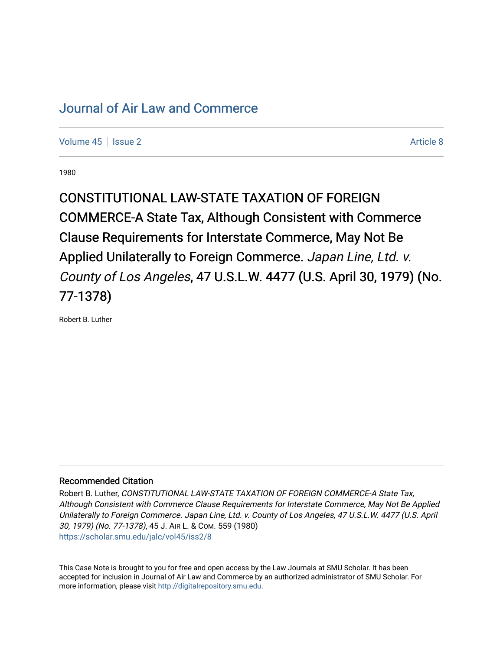## [Journal of Air Law and Commerce](https://scholar.smu.edu/jalc)

[Volume 45](https://scholar.smu.edu/jalc/vol45) | [Issue 2](https://scholar.smu.edu/jalc/vol45/iss2) Article 8

1980

CONSTITUTIONAL LAW-STATE TAXATION OF FOREIGN COMMERCE-A State Tax, Although Consistent with Commerce Clause Requirements for Interstate Commerce, May Not Be Applied Unilaterally to Foreign Commerce. Japan Line, Ltd. v. County of Los Angeles, 47 U.S.L.W. 4477 (U.S. April 30, 1979) (No. 77-1378)

Robert B. Luther

#### Recommended Citation

Robert B. Luther, CONSTITUTIONAL LAW-STATE TAXATION OF FOREIGN COMMERCE-A State Tax, Although Consistent with Commerce Clause Requirements for Interstate Commerce, May Not Be Applied Unilaterally to Foreign Commerce. Japan Line, Ltd. v. County of Los Angeles, 47 U.S.L.W. 4477 (U.S. April 30, 1979) (No. 77-1378), 45 J. AIR L. & COM. 559 (1980) [https://scholar.smu.edu/jalc/vol45/iss2/8](https://scholar.smu.edu/jalc/vol45/iss2/8?utm_source=scholar.smu.edu%2Fjalc%2Fvol45%2Fiss2%2F8&utm_medium=PDF&utm_campaign=PDFCoverPages) 

This Case Note is brought to you for free and open access by the Law Journals at SMU Scholar. It has been accepted for inclusion in Journal of Air Law and Commerce by an authorized administrator of SMU Scholar. For more information, please visit [http://digitalrepository.smu.edu](http://digitalrepository.smu.edu/).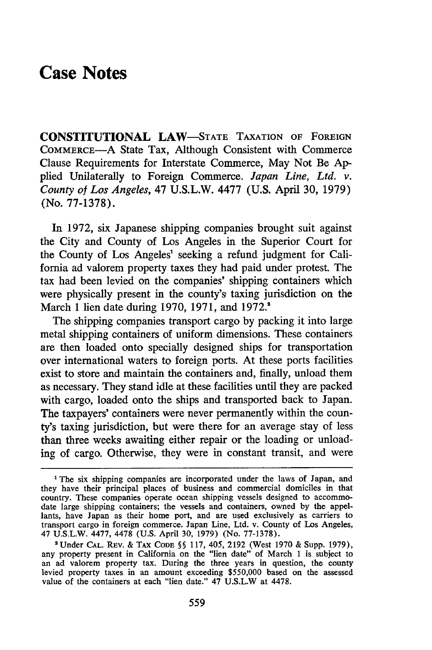# **Case Notes**

**CONSTITUTIONAL LAW-STATE TAXATION OF FOREIGN** COMMERCE-A **State** Tax, Although Consistent with Commerce Clause Requirements for Interstate Commerce, May Not Be **Ap**plied Unilaterally to Foreign Commerce. *Japan Line, Ltd. v. County of Los Angeles,* 47 U.S.L.W. 4477 (U.S. April 30, 1979) (No. **77-1378).**

In 1972, six Japanese shipping companies brought suit against the City and County of **Los** Angeles in the Superior Court for the County of Los Angeles' seeking a refund judgment for California ad valorem property taxes they had paid under protest. The tax had been levied on the companies' shipping containers which were physically present in the county's taxing jurisdiction on the March 1 lien date during 1970, 1971, and **1972.'**

The shipping companies transport cargo **by** packing it into large metal shipping containers of uniform dimensions. These containers are then loaded onto specially designed ships for transportation over international waters to foreign ports. At these ports facilities exist to store and maintain the containers and, finally, unload them as necessary. They stand idle at these facilities until they are packed with cargo, loaded onto the ships and transported back to Japan. The taxpayers' containers were never permanently within the county's taxing jurisdiction, but were there for an average stay of less than three weeks awaiting either repair or the loading or unloading of cargo. Otherwise, they were in constant transit, and were

<sup>&#</sup>x27; The six shipping companies are incorporated under the laws of Japan, and they have their principal places of business and commercial domiciles in that country. These companies operate ocean shipping vessels designed to accommodate large shipping containers; the vessels and containers, owned **by** the appellants, have Japan as their home port, and are used exclusively as carriers to transport cargo in foreign commerce. Japan Line, Ltd. v. County of Los Angeles, 47 U.S.L.W. 4477, 4478 (U.S. April **30,** 1979) (No. **77-1378).**

<sup>&#</sup>x27;Under **CAL.** REv. **&** TAX **CODE** *§§* **117,** 405, **2192** (West 1970 & Supp. **1979),** any property present in California on the "lien date" of March 1 is subject to an ad valorem property tax. During the three years in question, the county levied property taxes in an amount exceeding \$550,000 based on the assessed value of the containers at each "lien date." 47 U.S.L.W at 4478.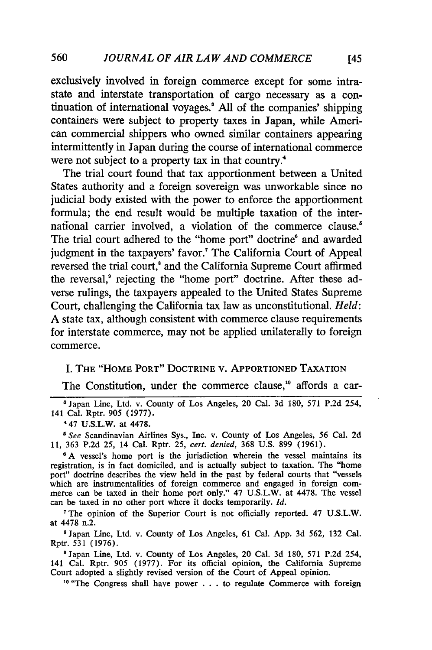exclusively involved in foreign commerce except for some intrastate and interstate transportation of cargo necessary as a continuation of international voyages.' All of the companies' shipping containers were subject to property taxes in Japan, while American commercial shippers who owned similar containers appearing intermittently in Japan during the course of international commerce were not subject to a property tax in that country.<sup>4</sup>

The trial court found that tax apportionment between a United States authority and a foreign sovereign was unworkable since no judicial body existed with the power to enforce the apportionment formula; the end result would be multiple taxation of the international carrier involved, a violation of the commerce clause.' The trial court adhered to the "home port" doctrine<sup>®</sup> and awarded judgment in the taxpayers' favor.' The California Court of Appeal reversed the trial court,<sup>8</sup> and the California Supreme Court affirmed the reversal,<sup>8</sup> rejecting the "home port" doctrine. After these adverse rulings, the taxpayers appealed to the United States Supreme Court, challenging the California tax law as unconstitutional. *Held:* A state tax, although consistent with commerce clause requirements for interstate commerce, may not be applied unilaterally to foreign commerce.

I. **THE** "HOME PORT" DOCTRINE V. APPORTIONED **TAXATION**

The Constitution, under the commerce clause,<sup>10</sup> affords a car-

560

<sup>&</sup>lt;sup>3</sup> Japan Line, Ltd. v. County of Los Angeles, 20 Cal. 3d 180, 571 P.2d 254, 141 Cal. Rptr. 905 (1977).

<sup>447</sup> U.S.L.W. at 4478.

*<sup>5</sup>See* Scandinavian Airlines Sys., Inc. v. County of Los Angeles, 56 Cal. 2d 11, 363 P.2d 25, 14 Cal. Rptr. 25, *cert. denied,* 368 U.S. 899 (1961).

**<sup>&#</sup>x27;A** vessel's home port is the jurisdiction wherein the vessel maintains its registration, is in fact domiciled, and is actually subject to taxation. The "home port" doctrine describes the view held in the past by federal courts that "vessels which are instrumentalities of foreign commerce and engaged in foreign commerce can be taxed in their home port only." 47 U.S.L.W. at 4478. The vessel can be taxed in no other port where it docks temporarily. *Id.*

**<sup>7</sup>**The opinion of the Superior Court is not officially reported. 47 U.S.L.W. at 4478 n.2.

**<sup>8</sup>** Japan Line, Ltd. v. County of Los Angeles, 61 Cal. App. **3d** 562, 132 Cal. Rptr. 531 (1976).

<sup>&#</sup>x27; Japan Line, Ltd. v. County of Los Angeles, 20 Cal. 3d 180, 571 P.2d 254, 141 Cal. Rptr. 905 (1977). For its official opinion, the California Supreme Court adopted a slightly revised version of the Court of Appeal opinion.

**<sup>10</sup>** "The Congress shall have power . . .to regulate Commerce with foreign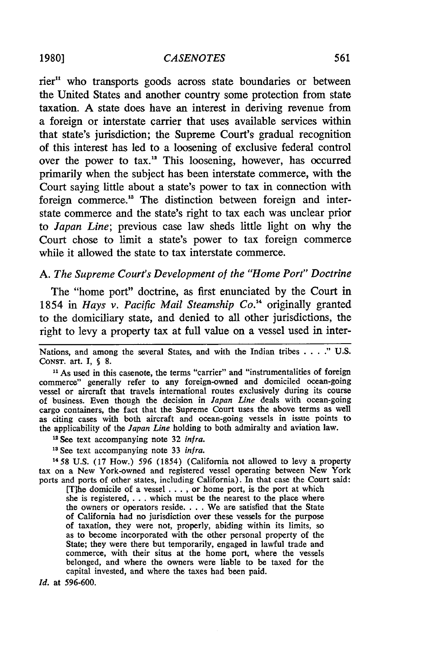#### **1980]** *CASENOTES*

rier" who transports goods across state boundaries or between the United States and another country some protection from state taxation. A state does have an interest in deriving revenue from a foreign or interstate carrier that uses available services within that state's jurisdiction; the Supreme Court's gradual recognition of this interest has led to a loosening of exclusive federal control over the power to tax." This loosening, however, has occurred primarily when the subject has been interstate commerce, with the Court saying little about a state's power to tax in connection with foreign commerce.<sup>13</sup> The distinction between foreign and interstate commerce and the state's right to tax each was unclear prior to *Japan Line;* previous case law sheds little light on why the Court chose to limit a state's power to tax foreign commerce while it allowed the state to tax interstate commerce.

#### *A. The Supreme Court's Development of the "Home Port" Doctrine*

The "home port" doctrine, as first enunciated by the Court in 1854 in *Hays v. Pacific Mail Steamship Co."'* originally granted to the domiciliary state, and denied to all other jurisdictions, the right to levy a property tax at full value on a vessel used in inter-

Nations, and among the several States, and with the Indian tribes . . . . " U.S. **CONST.** art. I, **S 8.**

**11** As used in this casenote, the terms "carrier" and "instrumentalities of foreign commerce" generally refer to any foreign-owned and domiciled ocean-going vessel or aircraft that travels international routes exclusively during its course of business. Even though the decision in *Japan Line* deals with ocean-going cargo containers, the fact that the Supreme Court uses the above terms as well as citing cases with both aircraft and ocean-going vessels in issue points to the applicability of the *Japan Line* holding to both admiralty and aviation law.

<sup>12</sup> See text accompanying note 32 *infra*.

<sup>13</sup> See text accompanying note 33 *infra*.

1'58 U.S. (17 How.) 596 (1854) (California not allowed to levy a property tax on a New York-owned and registered vessel operating between New York ports and ports of other states, including California). In that case the Court said:

[Tihe domicile of a vessel .... or home port, is the port at which she is registered, . . . which must be the nearest to the place where the owners or operators reside. . **.** .We are satisfied that the State of California had no jurisdiction over these vessels for the purpose of taxation, they were not, properly, abiding within its limits, so as to become incorporated with the other personal property of the State; they were there but temporarily, engaged in lawful trade and commerce, with their situs at the home port, where the vessels belonged, and where the owners were liable to be taxed for the capital invested, and where the taxes had been paid.

*Id.* at 596-600.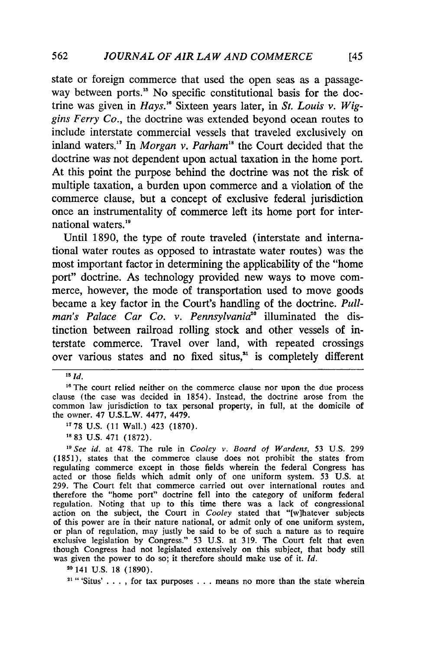state or foreign commerce that used the open seas as a passageway between ports.<sup>15</sup> No specific constitutional basis for the doctrine was given in *Hays."* Sixteen years later, in *St. Louis v. Wiggins Ferry Co.,* the doctrine was extended beyond ocean routes to include interstate commercial vessels that traveled exclusively on inland waters.<sup>17</sup> In *Morgan v. Parham*<sup>18</sup> the Court decided that the doctrine was not dependent upon actual taxation in the home port. At this point the purpose behind the doctrine was not the risk of multiple taxation, a burden upon commerce and a violation of the commerce clause, but a concept of exclusive federal jurisdiction once an instrumentality of commerce left its home port for international waters.<sup>19</sup>

Until 1890, the type of route traveled (interstate and international water routes as opposed to intrastate water routes) was the most important factor in determining the applicability of the "home port" doctrine. As technology provided new ways to move commerce, however, the mode of transportation used to move goods became a key factor in the Court's handling of the doctrine. *Pullman's Palace Car Co. v. Pennsylvanid°* illuminated the distinction between railroad rolling stock and other vessels of interstate commerce. Travel over land, with repeated crossings over various states and no fixed situs,"' is completely different

*1Id.*

<sup>16</sup> The court relied neither on the commerce clause nor upon the due process clause (the case was decided in 1854). Instead, the doctrine arose from the common law jurisdiction to tax personal property, in full, at the domicile of the owner. 47 U.S.L.W. 4477, 4479.

778 U.S. (11 Wall.) 423 (1870).

**18** 83 U.S. 471 (1872).

**"** *See id.* at 478. The rule in *Cooley v. Board of Wardens,* 53 U.S. 299 (1851), states that the commerce clause does not prohibit the states from regulating commerce except in those fields wherein the federal Congress has acted or those fields which admit only of one uniform system. 53 U.S. at 299. The Court felt that commerce carried out over international routes and therefore the "home port" doctrine fell into the category of uniform federal regulation. Noting that up to this time there was a lack of congressional action on the subject, the Court in *Cooley* stated that "[w]hatever subjects of this power are in their nature national, or admit only of one uniform system, or plan of regulation, may justly be said to be of such a nature as to require exclusive legislation by Congress." 53 U.S. at 319. The Court felt that even though Congress had not legislated extensively on this subject, that body still was given the power to do so; it therefore should make use of it. *Id.*

**<sup>20</sup>**141 U.S. 18 (1890).

**21 "** 'Situs' . **.** . , for tax purposes . . . means no more than the state wherein

**T45**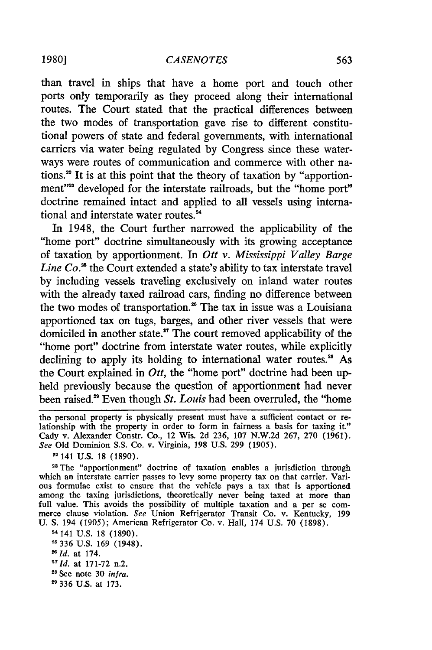than travel in ships that have a home port and touch other ports only temporarily as they proceed along their international routes. The Court stated that the practical differences between the two modes of transportation gave rise to different constitutional powers of state and federal governments, with international carriers via water being regulated by Congress since these waterways were routes of communication and commerce with other nations." It is at this point that the theory of taxation by "apportionment"<sup>22</sup> developed for the interstate railroads, but the "home port" doctrine remained intact and applied to all vessels using international and interstate water routes.<sup>24</sup>

In 1948, the Court further narrowed the applicability of the "home port" doctrine simultaneously with its growing acceptance of taxation by apportionment. In *Ott v. Mississippi Valley Barge* Line Co.<sup>25</sup> the Court extended a state's ability to tax interstate travel by including vessels traveling exclusively on inland water routes with the already taxed railroad cars, finding no difference between the two modes of transportation." The tax in issue was a Louisiana apportioned tax on tugs, barges, and other river vessels that were domiciled in another state."' The court removed applicability of the "home port" doctrine from interstate water routes, while explicitly declining to apply its holding to international water routes.<sup>28</sup> As the Court explained in *Ott,* the "home port" doctrine had been upheld previously because the question of apportionment had never been raised.<sup>29</sup> Even though *St. Louis* had been overruled, the "home

<sup>22</sup> 141 U.S. 18 (1890).

**<sup>23</sup>**The "apportionment" doctrine of taxation enables a jurisdiction through which an interstate carrier passes to levy some property tax on that carrier. Various formulae exist to ensure that the vehicle pays a tax that is apportioned among the taxing jurisdictions, theoretically never being taxed at more than full value. This avoids the possibility of multiple taxation and a per se commerce clause violation. *See* Union Refrigerator Transit Co. v. Kentucky, 199 U. S. 194 (1905); American Refrigerator Co. v. Hall, 174 U.S. 70 (1898).

**-** 141 U.S. 18 (1890). 336 U.S. 169 (1948).

- <sup>26</sup> *Id.* at 174.
- *2 <sup>7</sup> Id.* at 171-72 n.2.
- <sup>28</sup> See note 30 *infra*.
- **28 336** U.S. at 173.

the personal property is physically present must have a sufficient contact or relationship with the property in order to form in fairness a basis for taxing it." Cady v. Alexander Constr. Co., 12 Wis. 2d 236, 107 N.W.2d 267, 270 (1961). *See* Old Dominion S.S. Co. v. Virginia, 198 U.S. 299 (1905).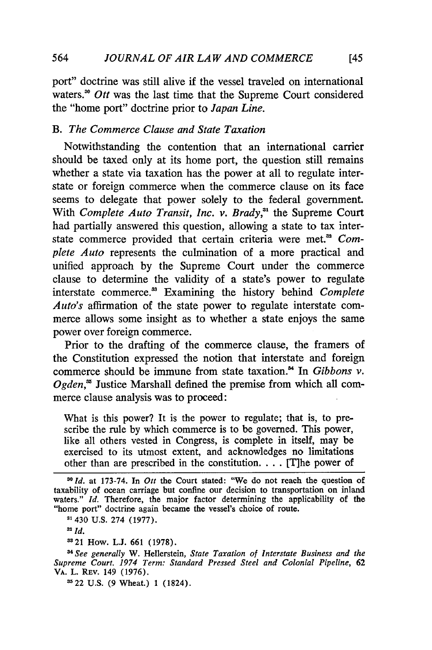port" doctrine was still alive **if** the vessel traveled on international waters.<sup>30</sup> Ott was the last time that the Supreme Court considered the "home port" doctrine prior to *Japan Line.*

## *B. The Commerce Clause and State Taxation*

Notwithstanding the contention that an international carrier should be taxed only at its home port, the question still remains whether a state via taxation has the power at all to regulate interstate or foreign commerce when the commerce clause on its face seems to delegate that power solely to the federal government. With *Complete Auto Transit, Inc. v. Brady*,<sup>31</sup> the Supreme Court had partially answered this question, allowing a state to tax interstate commerce provided that certain criteria were met.<sup>32</sup> Com*plete Auto* represents the culmination of a more practical and unified approach by the Supreme Court under the commerce clause to determine the validity of a state's power to regulate interstate commerce.<sup>38</sup> Examining the history behind *Complete Auto's* affirmation of the state power to regulate interstate commerce allows some insight as to whether a state enjoys the same power over foreign commerce.

Prior to the drafting of the commerce clause, the framers of the Constitution expressed the notion that interstate and foreign commerce should be immune from state taxation.<sup>34</sup> In *Gibbons v*. Ogden,<sup>35</sup> Justice Marshall defined the premise from which all commerce clause analysis was to proceed:

What is this power? It is the power to regulate; that is, to prescribe the rule by which commerce is to be governed. This power, like all others vested in Congress, is complete in itself, may be exercised to its utmost extent, and acknowledges no limitations other than are prescribed in the constitution **....** [T]he power of

**31430** U.S. 274 (1977).

**121** How. L.J. 661 (1978).

**145** 

**<sup>0</sup>** *Id.* at 173-74. In *Ott* the Court stated: "We do not reach the question of taxability of ocean carriage but confine our decision to transportation on inland waters." *Id.* Therefore, the major factor determining the applicability of the "home port" doctrine again became the vessel's choice of route.

*<sup>32</sup>Id.*

*<sup>3</sup> See generally* W. Hellerstein, *State Taxation of Interstate Business and the Supreme Court. 1974 Term: Standard Pressed Steel and Colonial Pipeline,* **62** VA. L. REV. 149 (1976).

**<sup>-22</sup>** U.S. (9 Wheat.) 1 (1824).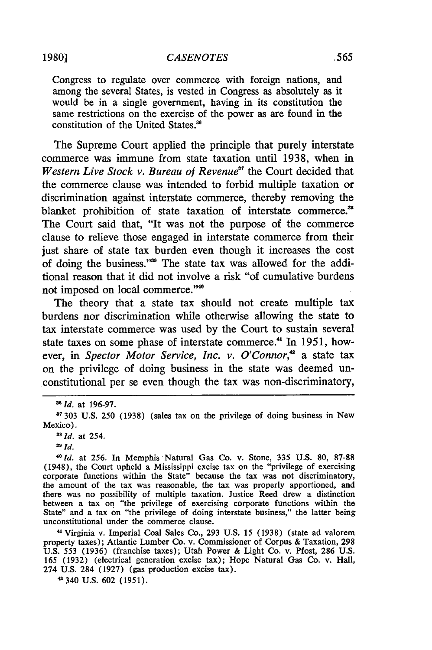Congress to regulate over commerce with foreign nations, and among the several States, is vested in Congress as absolutely as it would be in a single government, having in its constitution the same restrictions on the exercise of the power as are found in the constitution of the United States.'

The Supreme Court applied the principle that purely interstate commerce was immune from state taxation until 1938, when in *Western Live* Stock v. Bureau of Revenue"*'* the Court decided that the commerce clause was intended to forbid multiple taxation or discrimination against interstate commerce, thereby removing the blanket prohibition of state taxation of interstate commerce.<sup>38</sup> The Court said that, "It was not the purpose of the commerce clause to relieve those engaged in interstate commerce from their just share of state tax burden even though it increases the cost of doing the business."<sup>33</sup> The state tax was allowed for the additional reason that it did not involve a risk "of cumulative burdens not imposed on local commerce.""

The theory that a state tax should not create multiple tax burdens nor discrimination while otherwise allowing the state to tax interstate commerce was used by the Court to sustain several state taxes on some phase of interstate commerce.<sup>41</sup> In 1951, however, in Spector Motor Service, Inc. *v. O'Connor*,<sup>42</sup> a state tax on the privilege of doing business in the state was deemed unconstitutional per se even though the tax was non-discriminatory,

**4t** Virginia v. Imperial Coal Sales Co., **293** U.S. 15 (1938) (state ad valorem property taxes); Atlantic Lumber Co. v. Commissioner of Corpus & Taxation, 298 U.S. 553 (1936) (franchise taxes); Utah Power & Light Co. v. Pfost, 286 U.S. 165 (1932) (electrical generation excise tax); Hope Natural Gas Co. v. Hall, 274 U.S. 284 (1927) (gas production excise tax).

*<sup>&#</sup>x27;Id.* at 196-97.

**<sup>37</sup>**303 U.S. 250 (1938) (sales tax on the privilege of doing business in New Mexico).

<sup>&</sup>lt;sup>38</sup> *Id.* at 254.

**<sup>39</sup>***Id. <sup>40</sup> Id.* at 256. In Memphis Natural Gas Co. v. Stone, 335 U.S. 80, 87-88 (1948), the Court upheld a Mississippi excise tax on the "privilege of exercising corporate functions within the State" because the tax was not discriminatory, the amount of the tax was reasonable, the tax was properly apportioned, and there was no possibility of multiple taxation. Justice Reed drew a distinction between a tax on "the privilege of exercising corporate functions within the State" and a tax on "the privilege of doing interstate business," the latter being unconstitutional under the commerce clause.

 $42$  340 U.S. 602 (1951).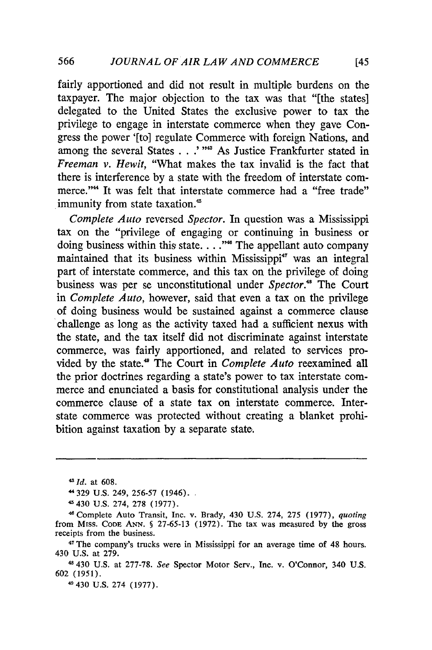fairly apportioned and did not result in multiple burdens on the taxpayer. The major objection to the tax was that "[the states] delegated to the United States the exclusive power to tax the privilege to engage in interstate commerce when they gave Congress the power '[to] regulate Commerce with foreign Nations, and among the several States **. . .' ""** As Justice Frankfurter stated in *Freeman v. Hewit,* "What makes the tax invalid is the fact that there is interference by a state with the freedom of interstate commerce."<sup>44</sup> It was felt that interstate commerce had a "free trade" immunity from state taxation.<sup>45</sup>

*Complete Auto* reversed *Spector.* In question was a Mississippi tax on the "privilege of engaging or continuing in business or doing business within this state...." **The appellant auto company** maintained that its business within Mississippi<sup>47</sup> was an integral part of interstate commerce, and this tax on the privilege of doing business was, per se unconstitutional under *Spector."* The Court in *Complete Auto,* however, said that even a tax on the privilege of doing business would be sustained against a commerce clause challenge as long as the activity taxed had a sufficient nexus with the state, and the tax itself did not discriminate against interstate commerce, was fairly apportioned, and related to services provided by the state." The Court in *Complete Auto* reexamined all the prior doctrines regarding a state's power to tax interstate commerce and enunciated a basis for constitutional analysis under the commerce clause of a state tax on interstate commerce. Interstate commerce was protected without creating a blanket prohibition against taxation by a separate state.

566

**<sup>48</sup>**430 U.S. at 277-78. *See* Spector Motor Serv., Inc. v. O'Connor, 340 U.S. 602 (1951).

**-** 430 **U.S.** 274 **(1977).**

<sup>43</sup>*Id.* at 608.

**<sup>-</sup>** 329 U.S. 249, 256-57 (1946).

<sup>-430</sup> U.S. 274, 278 (1977).

<sup>&</sup>quot;Complete Auto Transit, Inc. v. Brady, 430 U.S. 274, 275 **(1977),** *quoting* from Miss. CoDE **ANN.** *§* 27-65-13 (1972). The tax was measured by the gross receipts from the business.

<sup>47</sup> The company's trucks were in Mississippi for an average time of 48 hours. 430 U.S. at 279.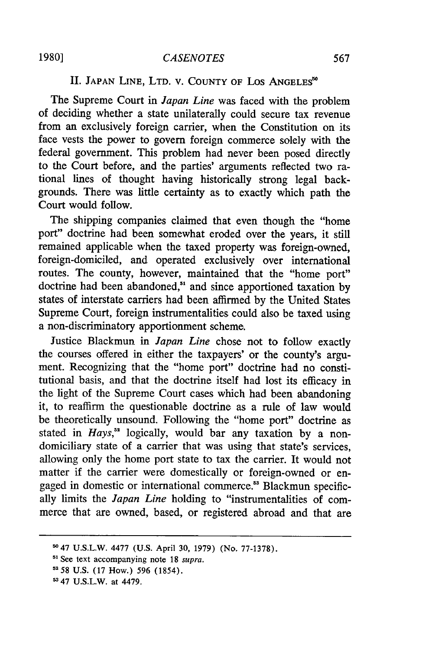### II. JAPAN LINE, LTD. V. COUNTY OF LOS ANGELES<sup>50</sup>

The Supreme Court in *Japan Line* was faced with the problem of deciding whether a state unilaterally could secure tax revenue from an exclusively foreign carrier, when the Constitution on its face vests the power to govern foreign commerce solely with the federal government. This problem had never been posed directly to the Court before, and the parties' arguments reflected two rational lines of thought having historically strong legal backgrounds. There was little certainty as to exactly which path the Court would follow.

The shipping companies claimed that even though the "home port" doctrine had been somewhat eroded over the years, it still remained applicable when the taxed property was foreign-owned, foreign-domiciled, and operated exclusively over international routes. The county, however, maintained that the "home port" doctrine had been abandoned," and since apportioned taxation **by** states of interstate carriers had been affirmed **by** the United States Supreme Court, foreign instrumentalities could also be taxed using a non-discriminatory apportionment scheme.

Justice Blackmun in *Japan Line* chose not to follow exactly the courses offered in either the taxpayers' or the county's argument. Recognizing that the "home port" doctrine had no constitutional basis, and that the doctrine itself had lost its efficacy in the light of the Supreme Court cases which had been abandoning it, to reaffirm the questionable doctrine as a rule of law would be theoretically unsound. Following the "home port" doctrine as stated in *Hays,"* logically, would bar any taxation **by** a nondomiciliary state of a carrier that was using that state's services, allowing only the home port state to tax the carrier. It would not matter if the carrier were domestically or foreign-owned or engaged in domestic or international commerce." Blackmun specifically limits the *Japan Line* holding to "instrumentalities of commerce that are owned, based, or registered abroad and that are

<sup>-</sup> 47 U.S.L.W. 4477 (U.S. April 30, 1979) (No. **77-1378).**

<sup>5</sup> See text accompanying note **18** supra.

<sup>&#</sup>x27;58 U.S. (17 How.) 596 (1854).

<sup>5347</sup> U.S.L.W. at 4479.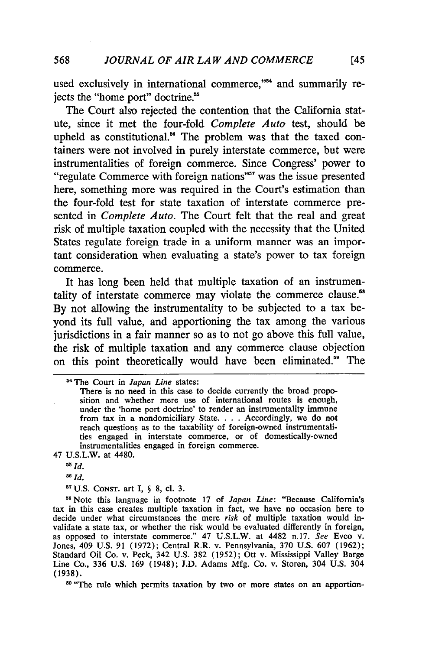used exclusively in international commerce,"<sup>54</sup> and summarily rejects the "home port" doctrine.<sup>55</sup>

The Court also rejected the contention that the California statute, since it met the four-fold *Complete Auto* test, should be upheld as constitutional.<sup>56</sup> The problem was that the taxed containers were not involved in purely interstate commerce, but were instrumentalities of foreign commerce. Since Congress' power to "regulate Commerce with foreign nations"<sup>37</sup> was the issue presented here, something more was required in the Court's estimation than the four-fold test for state taxation of interstate commerce presented in *Complete Auto.* The Court felt that the real and great risk of multiple taxation coupled with the necessity that the United States regulate foreign trade in a uniform manner was an important consideration when evaluating a state's power to tax foreign commerce.

It has long been held that multiple taxation of an instrumentality of interstate commerce may violate the commerce clause.<sup>58</sup> By not allowing the instrumentality to be subjected to a tax beyond its full value, and apportioning the tax among the various jurisdictions in a fair manner so as to not go above this full value, the risk of multiple taxation and any commerce clause objection on this point theoretically would have been eliminated." The

47 U.S.L.W. at 4480.

*"Id.*

*"Id.*

**"' U.S. CONST.** art **I, 5 8,** cl. **3.**

<sup>58</sup> Note this language in footnote 17 of *Japan Line*: "Because California's tax in this case creates multiple taxation in fact, we have no occasion here to decide under what circumstances the mere risk of multiple taxation would invalidate a state tax, or whether the risk would be evaluated differently in foreign, as opposed to interstate commerce." 47 **U.S.L.W.** at 4482 n.17. *See* Evco v. Jones, 409 **U.S. 91 (1972);** Central **R.R.** v. Pennsylvania, **370 U.S. 607 (1962);** Standard Oil Co. v. Peck, 342 **U.S. 382 (1952);** Ott v. Mississippi Valley Barge Line Co., **336 U.S. 169** (1948); **J.D.** Adams **Mfg.** Co. v. Storen, 304 **U.S.** 304 **(1938).**

<sup>59</sup> "The rule which permits taxation by two or more states on an apportion-

568

<sup>&</sup>lt;sup>54</sup> The Court in *Japan Line* states:

There is no need in this case to decide currently the broad proposition and whether mere use of international routes is enough, under the 'home port doctrine' to render an instrumentality immune from tax in a nondomiciliary State. . **.** .Accordingly, we do not reach questions as to the taxability of foreign-owned instrumentalities engaged in interstate commerce, or of domestically-owned instrumentalities engaged in foreign commerce.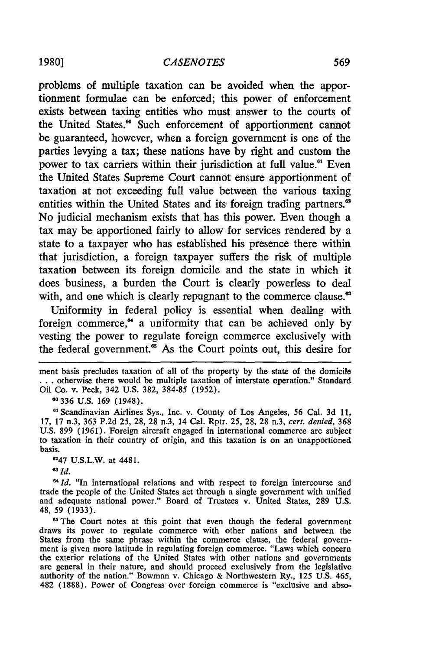#### 1980] *CASENOTES*

problems of multiple taxation can be avoided when the apportionment formulae can be enforced; this power of enforcement exists between taxing entities who must answer to the courts of the United States.<sup>6</sup> Such enforcement of apportionment cannot be guaranteed, however, when a foreign government is one of the parties levying a tax; these nations have by right and custom the power to tax carriers within their jurisdiction at full value." Even the United States Supreme Court cannot ensure apportionment of taxation at not exceeding full value between the various taxing entities within the United States and its foreign trading partners.<sup>62</sup> No judicial mechanism exists that has this power. Even though a tax may be apportioned fairly to allow for services rendered by a state to a taxpayer who has established his presence there within that jurisdiction, a foreign taxpayer suffers the risk of multiple taxation between its foreign domicile and the state in which it does business, a burden the Court is clearly powerless to deal with, and one which is clearly repugnant to the commerce clause.<sup>68</sup>

Uniformity in federal policy is essential when dealing with foreign commerce,<sup>\*\*</sup> a uniformity that can be achieved only by vesting the power to regulate foreign commerce exclusively with the federal government. $<sup>8</sup>$  As the Court points out, this desire for</sup>

**60336** U.S. 169 (1948).

**61** Scandinavian Airlines Sys., Inc. v. County of Los Angeles, 56 Cal. **3d 11,** 17, 17 n.3, 363 P.2d 25, 28, 28 n.3, 14 Cal. Rptr. 25, 28, 28 n.3, *cert. denied,* 368 U.S. 899 (1961). Foreign aircraft engaged in international commerce are subject to taxation in their country of origin, and this taxation is on an unapportioned basis.

<sup>62</sup>47 U.S.L.W. at 4481.

 $^{63}$  *Id.* 

<sup>64</sup> *Id.* "In international relations and with respect to foreign intercourse and trade the people of the United States act through a single government with unified and adequate national power." Board of Trustees v. United States, 289 U.S. 48, 59 (1933).

<sup>65</sup> The Court notes at this point that even though the federal government draws its power to regulate commerce with other nations and between the States from the same phrase within the commerce clause, the federal government is given more latitude in regulating foreign commerce. "Laws which concern<br>the exterior relations of the United States with other nations and governments<br>are general in their nature, and should proceed exclusively fro authority of the nation." Bowman v. Chicago & Northwestern Ry., 125 U.S. 465, 482 (1888). Power of Congress over foreign commerce is "exclusive and abso-

ment basis precludes taxation of all of the property by the state of the domicile ... otherwise there would be multiple taxation of interstate operation." Standard Oil Co. v. Peck, 342 U.S. 382, 384-85 (1952).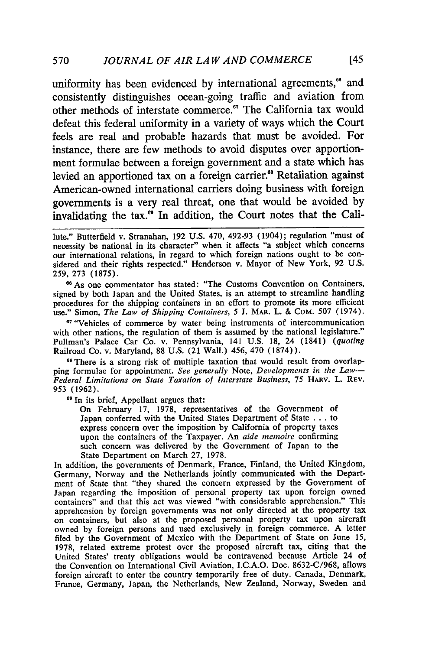570

uniformity has been evidenced **by** international agreements," and consistently distinguishes ocean-going traffic and aviation from other methods of interstate commerce." The California tax would defeat this federal uniformity in a variety of ways which the Court feels are real and probable hazards that must be avoided. For instance, there are few methods to avoid disputes over apportionment formulae between a foreign government and a state which has levied an apportioned tax on a foreign carrier." Retaliation against American-owned international carriers doing business with foreign governments is a very real threat, one that would be avoided **by** invalidating the tax." In addition, the Court notes that the **Cali-**

<sup>66</sup> As one commentator has stated: "The Customs Convention on Containers, signed by both Japan and the United States, is an attempt to streamline handling procedures for the shipping containers in an effort to promote its more efficient use." Simon, *The Law of Shipping Containers,* 5 J. MAR. L. & COM. 507 (1974).

<sup>67</sup> "Vehicles of commerce by water being instruments of intercommunication with other nations, the regulation of them is assumed by the national legislature." Pullman's Palace Car Co. v. Pennsylvania, 141 U.S. 18, 24 (1841) *(quoting* Railroad Co. v. Maryland, 88 U.S. (21 Wall.) 456, 470 (1874)).

<sup>68</sup> There is a strong risk of multiple taxation that would result from overlapping formulae for appointment. *See generally* Note, *Developments in the Law-- Federal Limitations on State Taxation of Interstate Business,* **75** HARV. L. REV. 953 (1962).

**<sup>09</sup>**In its brief, Appellant argues that:

On February **17,** 1978, representatives of the Government of Japan conferred with the United States Department of State **... to** express concern over the imposition **by** California of property taxes upon the containers of the Taxpayer. An *aide memoire* confirming such concern was delivered **by** the Government of Japan to the State Department on March **27, 1978.**

In addition, the governments of Denmark, France, Finland, the United Kingdom, Germany, Norway and the Netherlands jointly communicated with the Department of State that "they shared the concern expressed **by** the Government of Japan regarding the imposition of personal property tax upon foreign owned containers" and that this act was viewed "with considerable apprehension." This apprehension **by** foreign governments was not only directed at the property tax on containers, but also at the proposed personal property tax upon aircraft owned **by** foreign persons and used exclusively in foreign commerce. A letter filed **by** the Government of Mexico with the Department of State on June 15, **1978,** related extreme protest over the proposed aircraft tax, citing that the United States' treaty obligations would be contravened because Article 24 of the Convention on International Civil Aviation, I.C.A.O. **Doc.** 8632-C/968, allows foreign aircraft to enter the country temporarily free of duty. Canada, Denmark, France, Germany, Japan, the Netherlands, New Zealand, Norway, Sweden and

lute." Butterfield v. Stranahan, 192 U.S. 470, 492-93 (1904); regulation "must of necessity be national in its character" when it affects "a subject which concerns our international relations, in regard to which foreign nations ought to be considered and their rights respected." Henderson v. Mayor of New York, 92 U.S. 259, 273 (1875).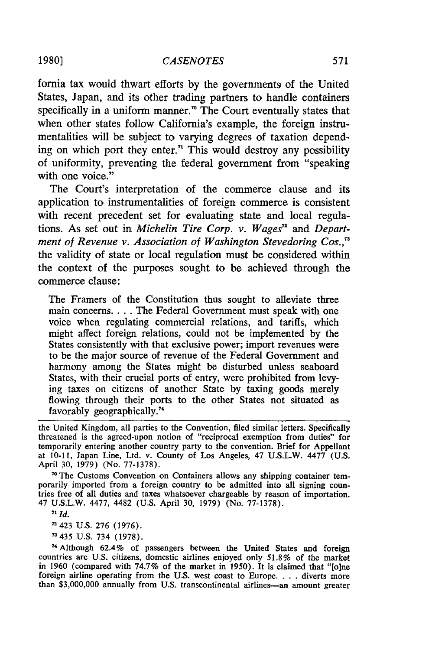fornia tax would thwart efforts by the governments of the United States, Japan, and its other trading partners to handle containers specifically in a uniform manner.<sup>70</sup> The Court eventually states that when other states follow California's example, the foreign instrumentalities will be subject to varying degrees of taxation depending on which port they enter.<sup>71</sup> This would destroy any possibility of uniformity, preventing the federal government from "speaking with one voice."

The Court's interpretation of the commerce clause and its application to instrumentalities of foreign commerce is consistent with recent precedent set for evaluating state and local regulations. As set out in *Michelin Tire Corp. v. Wages*<sup>72</sup> and *Department of Revenue v. Association of Washington Stevedoring Cos.,"* the validity of state or local regulation must be considered within the context of the purposes sought to be achieved through the commerce clause:

The Framers of the Constitution thus sought to alleviate three main concerns **....** The Federal Government must speak with one voice when regulating commercial relations, and tariffs, which might affect foreign relations, could not be implemented by the States consistently with that exclusive power; import revenues were to be the major source of revenue of the Federal Government and harmony among the States might be disturbed unless seaboard States, with their crucial ports of entry, were prohibited from levying taxes on citizens of another State by taxing goods merely flowing through their ports to the other States not situated as favorably geographically.'

the United Kingdom, all parties to the Convention, filed similar letters. Specifically threatened is the agreed-upon notion of "reciprocal exemption from duties" for temporarily entering another country party to the convention. Brief for Appellant at 10-11, Japan Line, Ltd. v. County of Los Angeles, 47 U.S.L.W. 4477 (U.S. April 30, 1979) (No. 77-1378).

<sup>70</sup> The Customs Convention on Containers allows any shipping container temporarily imported from a foreign country to be admitted into all signing countries free of all duties and taxes whatsoever chargeable **by** reason of importation. 47 **U.S.L.W.** 4477, 4482 **(U.S.** April **30, 1979)** (No. **77-1378).**

**'1** *Id.*

423 **U.S. 276 (1976).**

<sup>73</sup> 435 U.S. 734 (1978).<br><sup>74</sup> Although 62.4% of passengers between the United States and foreign countries are **U.S.** citizens, domestic airlines enjoyed only **51.8%** of the market in **1960** (compared with **74.7%** of the market in **1950).** It is claimed that "[o]ne foreign airline operating from the **U.S.** west coast to Europe **....** diverts more than **\$3,000,000** annually from **U.S.** transcontinental airlines-an amount greater

**1980]**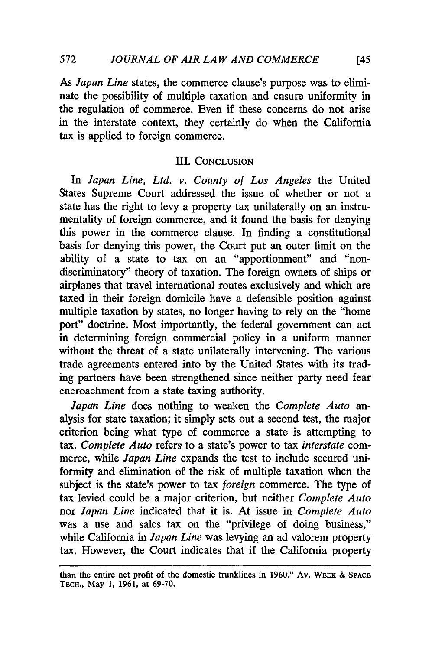572

*As Japan Line* states, the commerce clause's purpose was to eliminate the possibility of multiple taxation and ensure uniformity in the regulation of commerce. Even if these concerns do not arise in the interstate context, they certainly do when the California tax is applied to foreign commerce.

#### **III. CONCLUSION**

In *Japan Line, Ltd. v. County of Los Angeles* the United States Supreme Court addressed the issue of whether or not a state has the right to levy a property tax unilaterally on an instrumentality of foreign commerce, and it found the basis for denying this power in the commerce clause. In finding a constitutional basis for denying this power, the Court put an outer limit on the ability of a state to tax on an "apportionment" and "nondiscriminatory" theory of taxation. The foreign owners of ships or airplanes that travel international routes exclusively and which are taxed in their foreign domicile have a defensible position against multiple taxation by states, no longer having to rely on the "home port" doctrine. Most importantly, the federal government can act in determining foreign commercial policy in a uniform manner without the threat of a state unilaterally intervening. The various trade agreements entered into by the United States with its trading partners have been strengthened since neither party need fear encroachment from a state taxing authority.

*Japan Line* does nothing to weaken the *Complete Auto* analysis for state taxation; it simply sets out a second test, the major criterion being what type of commerce a state is attempting to *tax. Complete Auto* refers to a state's power to tax *interstate* commerce, while *Japan Line* expands the test to include secured uniformity and elimination of the risk of multiple taxation when the subject is the state's power to tax *foreign* commerce. The type of tax levied could be a major criterion, but neither *Complete Auto* nor *Japan Line* indicated that it is. At issue in *Complete Auto* was a use and sales tax on the "privilege of doing business," while California in *Japan Line* was levying an ad valorem property tax. However, the Court indicates that if the California property

than the entire net profit of the domestic trunklines in 1960." Av. WEEK **& SPACE TECH.,** May 1, 1961, at 69-70.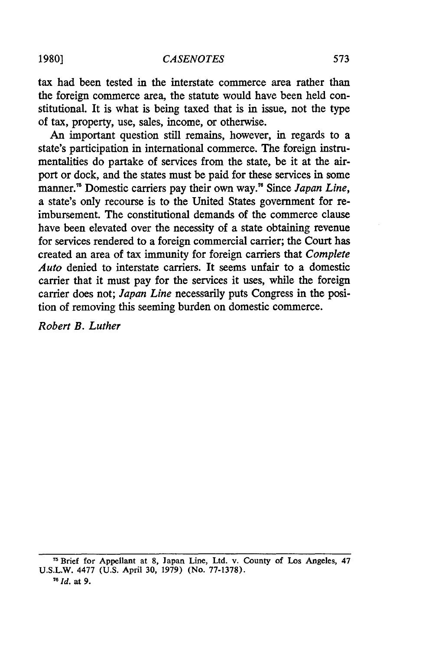tax had been tested in the interstate commerce area rather than the foreign commerce area, the statute would have been held constitutional. It is what is being taxed that is in issue, not the type of tax, property, use, sales, income, or otherwise.

An important question still remains, however, in regards to a state's participation in international commerce. The foreign instrumentalities do partake of services from the state, be it at the airport or dock, and the states must be paid for these services in some manner.<sup>78</sup> Domestic carriers pay their own way.<sup>76</sup> Since *Japan Line*, a state's only recourse is to the United States government for reimbursement. The constitutional demands of the commerce clause have been elevated over the necessity of a state obtaining revenue for services rendered to a foreign commercial carrier; the Court has created an area of tax immunity for foreign carriers that *Complete Auto* denied to interstate carriers. It seems unfair to a domestic carrier that it must pay for the services it uses, while the foreign carrier does not; *Japan Line* necessarily puts Congress in the position of removing this seeming burden on domestic commerce.

*Robert B. Luther*

**7'** Brief for Appellant at **8,** Japan Line, Ltd. v. County of Los Angeles, 47 U.S.L.W. 4477 (U.S. April 30, 1979) (No. 77-1378). *76 Id.* at 9.

**1980]**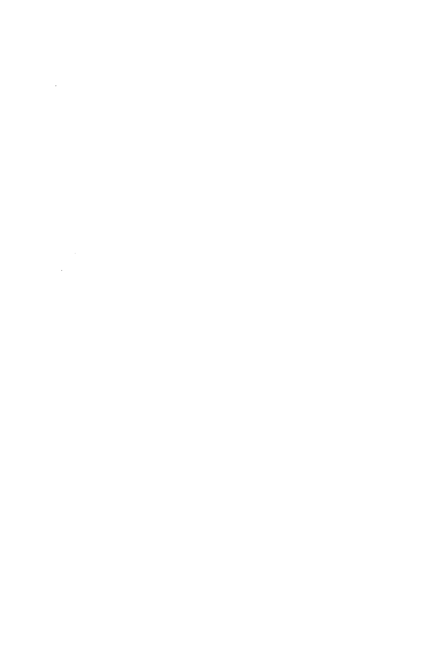$\label{eq:2.1} \frac{1}{\sqrt{2}}\left(\frac{1}{\sqrt{2}}\right)^{2} \left(\frac{1}{\sqrt{2}}\right)^{2} \left(\frac{1}{\sqrt{2}}\right)^{2} \left(\frac{1}{\sqrt{2}}\right)^{2} \left(\frac{1}{\sqrt{2}}\right)^{2} \left(\frac{1}{\sqrt{2}}\right)^{2} \left(\frac{1}{\sqrt{2}}\right)^{2} \left(\frac{1}{\sqrt{2}}\right)^{2} \left(\frac{1}{\sqrt{2}}\right)^{2} \left(\frac{1}{\sqrt{2}}\right)^{2} \left(\frac{1}{\sqrt{2}}\right)^{2} \left(\$ 

 $\label{eq:2.1} \frac{1}{\sqrt{2}}\int_{\mathbb{R}^3}\frac{1}{\sqrt{2}}\left(\frac{1}{\sqrt{2}}\right)^2\frac{1}{\sqrt{2}}\left(\frac{1}{\sqrt{2}}\right)^2\frac{1}{\sqrt{2}}\left(\frac{1}{\sqrt{2}}\right)^2.$